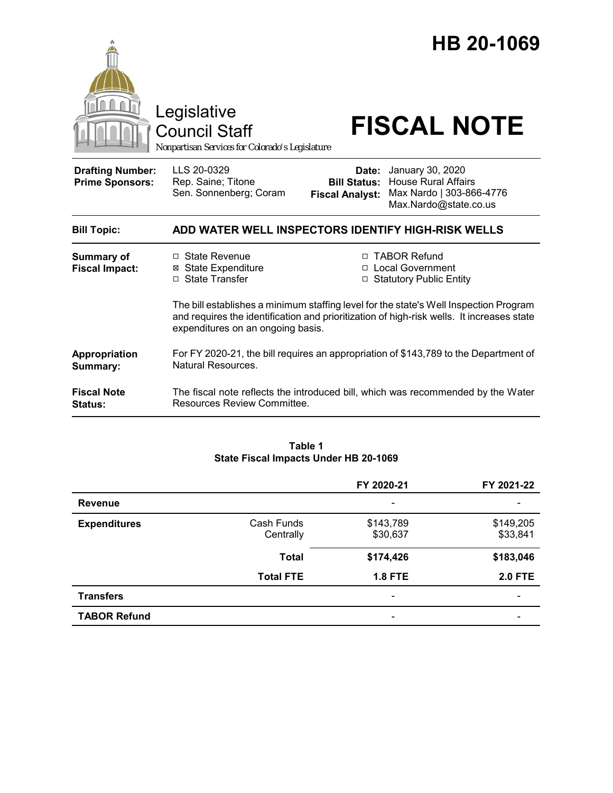

### **Table 1 State Fiscal Impacts Under HB 20-1069**

|                     |                         | FY 2020-21                   | FY 2021-22            |
|---------------------|-------------------------|------------------------------|-----------------------|
| <b>Revenue</b>      |                         | $\qquad \qquad \blacksquare$ |                       |
| <b>Expenditures</b> | Cash Funds<br>Centrally | \$143,789<br>\$30,637        | \$149,205<br>\$33,841 |
|                     | <b>Total</b>            | \$174,426                    | \$183,046             |
|                     | <b>Total FTE</b>        | <b>1.8 FTE</b>               | <b>2.0 FTE</b>        |
| <b>Transfers</b>    |                         | $\overline{\phantom{0}}$     |                       |
| <b>TABOR Refund</b> |                         |                              |                       |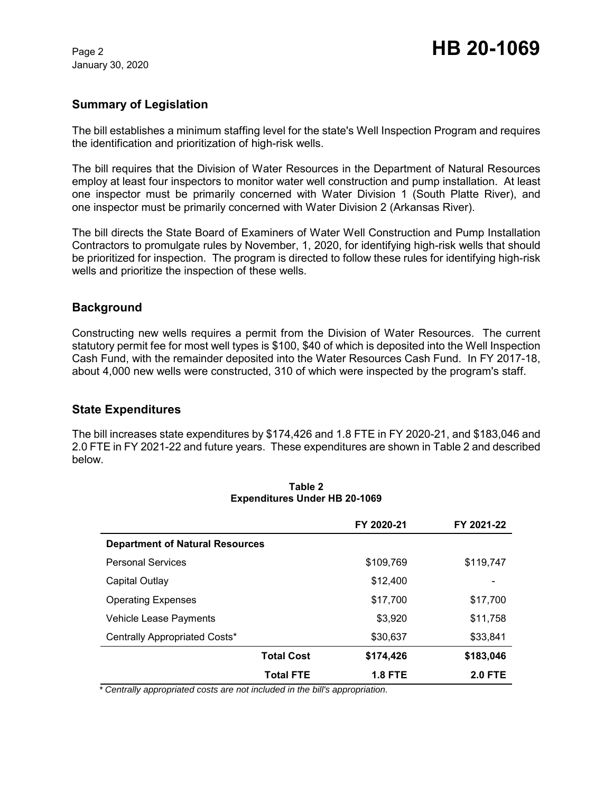January 30, 2020

# **Summary of Legislation**

The bill establishes a minimum staffing level for the state's Well Inspection Program and requires the identification and prioritization of high-risk wells.

The bill requires that the Division of Water Resources in the Department of Natural Resources employ at least four inspectors to monitor water well construction and pump installation. At least one inspector must be primarily concerned with Water Division 1 (South Platte River), and one inspector must be primarily concerned with Water Division 2 (Arkansas River).

The bill directs the State Board of Examiners of Water Well Construction and Pump Installation Contractors to promulgate rules by November, 1, 2020, for identifying high-risk wells that should be prioritized for inspection. The program is directed to follow these rules for identifying high-risk wells and prioritize the inspection of these wells.

## **Background**

Constructing new wells requires a permit from the Division of Water Resources. The current statutory permit fee for most well types is \$100, \$40 of which is deposited into the Well Inspection Cash Fund, with the remainder deposited into the Water Resources Cash Fund. In FY 2017-18, about 4,000 new wells were constructed, 310 of which were inspected by the program's staff.

## **State Expenditures**

The bill increases state expenditures by \$174,426 and 1.8 FTE in FY 2020-21, and \$183,046 and 2.0 FTE in FY 2021-22 and future years. These expenditures are shown in Table 2 and described below.

|                                        | FY 2020-21     | FY 2021-22     |
|----------------------------------------|----------------|----------------|
| <b>Department of Natural Resources</b> |                |                |
| <b>Personal Services</b>               | \$109,769      | \$119,747      |
| Capital Outlay                         | \$12,400       |                |
| <b>Operating Expenses</b>              | \$17,700       | \$17,700       |
| Vehicle Lease Payments                 | \$3,920        | \$11,758       |
| Centrally Appropriated Costs*          | \$30,637       | \$33,841       |
| <b>Total Cost</b>                      | \$174,426      | \$183,046      |
| <b>Total FTE</b>                       | <b>1.8 FTE</b> | <b>2.0 FTE</b> |

#### **Table 2 Expenditures Under HB 20-1069**

 *\* Centrally appropriated costs are not included in the bill's appropriation.*